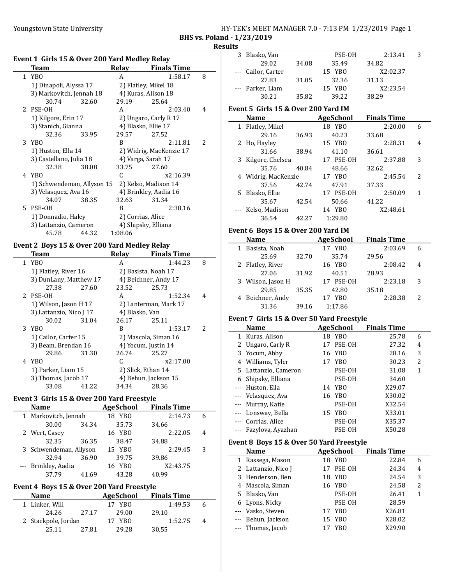#### Youngstown State University The Management State University HY-TEK's MEET MANAGER 7.0 - 7:13 PM 1/23/2019 Page 1 BHS vs. Poland - 1/23/2019

#### **Results**

| Event 1 Girls 15 & Over 200 Yard Medley Relay |                            |       |                       |                         |   |  |
|-----------------------------------------------|----------------------------|-------|-----------------------|-------------------------|---|--|
|                                               | Team                       |       | Relay                 | <b>Finals Time</b>      |   |  |
|                                               | 1 YBO                      |       | A                     | 1:58.17                 | 8 |  |
|                                               | 1) Dinapoli, Alyssa 17     |       |                       | 2) Flatley, Mikel 18    |   |  |
|                                               | 3) Markovitch, Jennah 18   |       |                       | 4) Kuras, Alison 18     |   |  |
|                                               | 30.74                      | 32.60 | 29.19                 | 25.64                   |   |  |
|                                               | 2 PSE-OH                   |       | A                     | 2:03.40                 | 4 |  |
|                                               | 1) Kilgore, Erin 17        |       |                       | 2) Ungaro, Carly R 17   |   |  |
|                                               | 3) Stanich, Gianna         |       |                       | 4) Blasko, Ellie 17     |   |  |
|                                               | 32.36                      | 33.95 | 29.57                 | 27.52                   |   |  |
|                                               | 3 YBO                      |       | R                     | 2:11.81                 | 2 |  |
|                                               | 1) Huston, Ella 14         |       |                       | 2) Widrig, MacKenzie 17 |   |  |
|                                               | 3) Castellano, Julia 18    |       | 4) Varga, Sarah 17    |                         |   |  |
|                                               | 32.38                      | 38.08 | 33.75                 | 27.60                   |   |  |
|                                               | 4 YBO                      |       | C                     | x2:16.39                |   |  |
|                                               | 1) Schwendeman, Allyson 15 |       | 2) Kelso, Madison 14  |                         |   |  |
|                                               | 3) Velasquez, Ava 16       |       | 4) Brinkley, Aadia 16 |                         |   |  |
|                                               | 34.07                      | 38.35 | 32.63                 | 31.34                   |   |  |
|                                               | 5 PSE-OH                   |       | R                     | 2:38.16                 |   |  |
|                                               | 1) Donnadio, Haley         |       |                       | 2) Corrias, Alice       |   |  |
|                                               | 3) Lattanzio, Cameron      |       |                       | 4) Shipsky, Elliana     |   |  |
|                                               | 45.78                      | 44.32 | 1:08.06               |                         |   |  |

# Event 2 Boys 15 & Over 200 Yard Medley Relay

| Team                    |       | Relay          | <b>Finals Time</b>    |                          |
|-------------------------|-------|----------------|-----------------------|--------------------------|
| 1 YBO                   |       | А              | 1:44.23               | 8                        |
| 1) Flatley, River 16    |       |                | 2) Basista, Noah 17   |                          |
| 3) DunLany, Matthew 17  |       |                | 4) Beichner, Andy 17  |                          |
| 27.38                   | 27.60 | 23.52          | 25.73                 |                          |
| 2 PSE-OH                |       | A              | 1:52.34               | 4                        |
| 1) Wilson, Jason H 17   |       |                | 2) Lanterman, Mark 17 |                          |
| 3) Lattanzio, Nico J 17 |       | 4) Blasko, Van |                       |                          |
| 30.02                   | 31.04 | 26.17          | 25.11                 |                          |
| 3 YBO                   |       | B              | 1:53.17               | $\overline{\mathcal{L}}$ |
| 1) Cailor, Carter 15    |       |                | 2) Mascola, Siman 16  |                          |
| 3) Beam, Brendan 16     |       |                | 4) Yocum, Justin 14   |                          |
| 29.86                   | 31.30 | 26.74          | 25.27                 |                          |
| 4 YBO                   |       | C              | x2:17.00              |                          |
| 1) Parker, Liam 15      |       |                | 2) Slick, Ethan 14    |                          |
| 3) Thomas, Jacob 17     |       |                | 4) Behun, Jackson 15  |                          |
| 33.08                   | 41.22 | 34.34          | 28.36                 |                          |

# Event 3 Girls 15 & Over 200 Yard Freestyle

| <b>Name</b>            |       | <b>AgeSchool</b>      | <b>Finals Time</b> |   |
|------------------------|-------|-----------------------|--------------------|---|
| 1 Markovitch, Jennah   |       | 18 YBO                | 2:14.73            |   |
| 30.00                  | 34.34 | 35.73                 | 34.66              |   |
| 2 Wert, Casey          |       | 16 YBO                | 2:22.05            | 4 |
| 32.35                  | 36.35 | 38.47                 | 34.88              |   |
| 3 Schwendeman, Allyson |       | 15 YBO                | 2:29.45            | 3 |
| 32.94                  | 36.90 | 39.75                 | 39.86              |   |
| --- Brinkley, Aadia    |       | YB <sub>0</sub><br>16 | X2:43.75           |   |
| 37.79                  | 41.69 | 43.28                 | 40.99              |   |

#### Event 4 Boys 15 & Over 200 Yard Freestyle

| <b>Name</b>         | AgeSchool      | <b>Finals Time</b> |   |
|---------------------|----------------|--------------------|---|
| 1 Linker, Will      | 17 YBO         | 1:49.53            | h |
| 24.26               | 29.00<br>27.17 | 29.10              |   |
| 2 Stackpole, Jordan | 17 YBO         | 1:52.75            | 4 |
| 25.11               | 29.28<br>27.81 | 30.55              |   |

|              | 3 Blasko, Van                             |       | PSE-OH                | 2:13.41            | 3                                       |
|--------------|-------------------------------------------|-------|-----------------------|--------------------|-----------------------------------------|
|              | 29.02                                     | 34.08 | 35.49                 | 34.82              |                                         |
|              | Cailor, Carter                            |       | 15 YBO                | X2:02.37           |                                         |
|              | 27.83                                     | 31.05 | 32.36                 | 31.13              |                                         |
|              | --- Parker, Liam                          |       | 15 YBO                | X2:23.54           |                                         |
|              | 30.21                                     | 35.82 | 39.22                 | 38.29              |                                         |
|              |                                           |       |                       |                    |                                         |
|              | Event 5 Girls 15 & Over 200 Yard IM       |       |                       |                    |                                         |
|              | <b>Name</b>                               |       | <b>AgeSchool</b>      | <b>Finals Time</b> |                                         |
|              | 1 Flatley, Mikel                          |       | 18 YBO                | 2:20.00            | 6                                       |
|              | 29.16                                     | 36.93 | 40.23                 | 33.68              |                                         |
|              | 2 Ho, Hayley                              |       | 15 YBO                | 2:28.31            | 4                                       |
|              | 31.66                                     | 38.94 | 41.10                 | 36.61              |                                         |
| 3            | Kilgore, Chelsea                          |       | 17 PSE-OH             | 2:37.88            | 3                                       |
|              | 35.76                                     | 40.84 | 48.66                 | 32.62              |                                         |
|              | 4 Widrig, MacKenzie                       |       | 17 YBO                | 2:45.54            | 2                                       |
|              | 37.56                                     | 42.74 | 47.91                 | 37.33              |                                         |
|              | 5 Blasko, Ellie                           |       | 17 PSE-OH             | 2:50.09            | 1                                       |
|              | 35.67                                     | 42.54 | 50.66                 | 41.22              |                                         |
|              | --- Kelso, Madison                        |       | 14 YBO                | X2:48.61           |                                         |
|              | 36.54                                     | 42.27 | 1:29.80               |                    |                                         |
|              | Event 6 Boys 15 & Over 200 Yard IM        |       |                       |                    |                                         |
|              | <b>Name</b>                               |       | AgeSchool             | <b>Finals Time</b> |                                         |
| $\mathbf{1}$ | Basista, Noah                             |       | 17 YBO                | 2:03.69            | 6                                       |
|              | 25.69                                     |       | 35.74                 | 29.56              |                                         |
|              |                                           | 32.70 | 16 YBO                |                    |                                         |
|              | 2 Flatley, River                          |       |                       | 2:08.42            | 4                                       |
|              | 27.06                                     | 31.92 | 40.51                 | 28.93              |                                         |
|              | 3 Wilson, Jason H                         |       | 17 PSE-OH             | 2:23.18            | 3                                       |
|              |                                           |       |                       |                    |                                         |
|              | 29.85                                     | 35.35 | 42.80                 | 35.18              |                                         |
|              | 4 Beichner, Andy                          |       | 17 YBO                | 2:28.38            | 2                                       |
|              | 31.36                                     | 39.16 | 1:17.86               |                    |                                         |
|              | Event 7 Girls 15 & Over 50 Yard Freestyle |       |                       |                    |                                         |
|              | <b>Name</b>                               |       | AgeSchool             | <b>Finals Time</b> |                                         |
|              | 1 Kuras, Alison                           |       | 18 YBO                | 25.78              | 6                                       |
|              | 2 Ungaro, Carly R                         |       | 17 PSE-OH             | 27.32              | 4                                       |
|              | 3 Yocum, Abby                             |       | 16 YBO                | 28.16              | 3                                       |
|              |                                           |       | 17 YBO                |                    |                                         |
|              | 4 Williams, Tyler                         |       |                       | 30.23              | $\overline{\mathbf{c}}$<br>$\mathbf{1}$ |
|              | 5 Lattanzio, Cameron                      |       | PSE-OH                | 31.08              |                                         |
|              | 6 Shipsky, Elliana                        |       | PSE-OH                | 34.60              |                                         |
| ---          | --- Huston, Ella                          |       | YBO<br>14             | X29.07             |                                         |
|              | Velasquez, Ava                            |       | YB <sub>0</sub><br>16 | X30.02             |                                         |
| $--$         | Murray, Katie                             |       | PSE-OH                | X32.54             |                                         |
| ---          | Lonsway, Bella                            |       | 15<br>YB <sub>0</sub> | X33.01             |                                         |
| ---          | Corrias, Alice                            |       | PSE-OH                | X35.37             |                                         |
| $--$         | Fazylova, Ayazhan                         |       | PSE-OH                | X50.28             |                                         |
|              | Event 8 Boys 15 & Over 50 Yard Freestyle  |       |                       |                    |                                         |
|              | Name                                      |       | <b>AgeSchool</b>      | <b>Finals Time</b> |                                         |
| 1            | Rassega, Mason                            |       | 18<br>YBO             | 22.84              | 6                                       |
| 2            | Lattanzio, Nico J                         |       | PSE-OH<br>17          | 24.34              | 4                                       |
| 3            | Henderson, Ben                            |       | <b>YBO</b><br>18      | 24.54              | 3                                       |
| 4            | Mascola, Siman                            |       | 16<br><b>YBO</b>      | 24.58              | 2                                       |
| 5.           | Blasko, Van                               |       | PSE-OH                | 26.41              | $\mathbf{1}$                            |
| 6            | Lyons, Nicky                              |       | PSE-OH                | 28.59              |                                         |

--- Behun, Jackson 15 YBO X28.02 --- Thomas, Jacob 17 YBO X29.90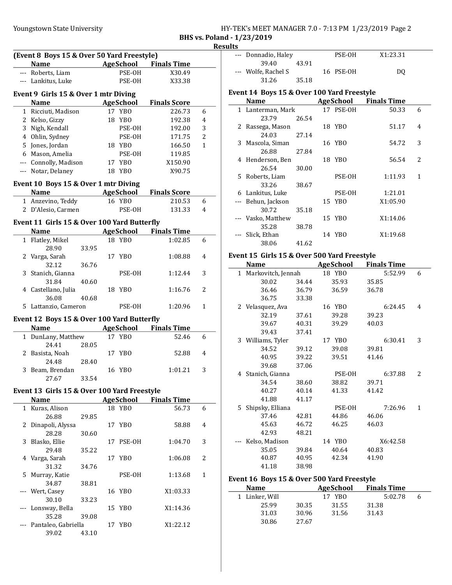BHS vs. Poland - 1/23/2019 **Results** 

|              | (Event 8 Boys 15 & Over 50 Yard Freestyle)  |       |    |                            |                              |                |
|--------------|---------------------------------------------|-------|----|----------------------------|------------------------------|----------------|
|              | <b>Name</b>                                 |       |    |                            | AgeSchool Finals Time        |                |
|              | --- Roberts, Liam                           |       |    | PSE-OH                     | X30.49                       |                |
|              | --- Lankitus, Luke                          |       |    | PSE-OH                     | X33.38                       |                |
|              |                                             |       |    |                            |                              |                |
|              | Event 9 Girls 15 & Over 1 mtr Diving        |       |    |                            |                              |                |
|              | <b>Name</b>                                 |       |    | <b>AgeSchool</b>           | <b>Finals Score</b>          |                |
|              | 1 Ricciuti, Madison                         |       |    | 17 YBO                     | 226.73                       | 6              |
|              | 2 Kelso, Gizzy                              |       |    | 18 YBO                     | 192.38                       | 4              |
|              | 3 Nigh, Kendall                             |       |    | PSE-OH                     | 192.00                       | 3              |
|              | 4 Ohlin, Sydney                             |       |    | PSE-OH                     | 171.75                       | $\overline{2}$ |
|              | 5 Jones, Jordan                             |       |    | 18 YBO                     | 166.50                       | 1              |
|              | 6 Mason, Amelia                             |       |    | PSE-OH                     | 119.85                       |                |
|              | --- Connolly, Madison                       |       |    | 17 YBO                     | X150.90                      |                |
|              | --- Notar, Delaney                          |       |    | 18 YBO                     | X90.75                       |                |
|              | Event 10 Boys 15 & Over 1 mtr Diving        |       |    |                            |                              |                |
|              | <b>Name</b>                                 |       |    | <b>Example 2</b> AgeSchool | <b>Finals Score</b>          |                |
|              | 1 Anzevino, Teddy                           |       |    | 16 YBO                     | 210.53                       | 6              |
|              | 2 D'Alesio, Carmen                          |       |    | PSE-OH                     | 131.33                       | 4              |
|              |                                             |       |    |                            |                              |                |
|              | Event 11 Girls 15 & Over 100 Yard Butterfly |       |    |                            |                              |                |
|              | <b>Name</b>                                 |       |    |                            | <b>AgeSchool</b> Finals Time |                |
|              | 1 Flatley, Mikel                            |       |    | 18 YBO                     | 1:02.85                      | 6              |
|              | 28.90                                       | 33.95 |    |                            |                              |                |
| 2            | Varga, Sarah                                |       |    | 17 YBO                     | 1:08.88                      | 4              |
|              | 32.12                                       | 36.76 |    |                            |                              |                |
| 3            | Stanich, Gianna                             |       |    | PSE-OH                     | 1:12.44                      | 3              |
|              | 31.84                                       | 40.60 |    |                            |                              |                |
|              | 4 Castellano, Julia                         |       |    | 18 YBO                     | 1:16.76                      | 2              |
|              | 36.08                                       | 40.68 |    |                            |                              |                |
| 5            | Lattanzio, Cameron                          |       |    | PSE-OH                     | 1:20.96                      | 1              |
|              | Event 12 Boys 15 & Over 100 Yard Butterfly  |       |    |                            |                              |                |
|              | Name                                        |       |    |                            | <b>AgeSchool</b> Finals Time |                |
|              | 1 DunLany, Matthew                          |       |    | 17 YBO                     | 52.46                        | 6              |
|              | 24.41                                       | 28.05 |    |                            |                              |                |
| 2            | Basista, Noah                               |       |    | 17 YBO                     | 52.88                        | 4              |
|              | 24.48                                       | 28.40 |    |                            |                              |                |
| 3            | Beam, Brendan                               |       |    | 16 YBO                     | 1:01.21                      | 3              |
|              | 27.67                                       | 33.54 |    |                            |                              |                |
|              | Event 13 Girls 15 & Over 100 Yard Freestyle |       |    |                            |                              |                |
|              | <b>Name</b>                                 |       |    | <b>AgeSchool</b>           | <b>Finals Time</b>           |                |
| $\mathbf{1}$ | Kuras, Alison                               |       |    | 18 YBO                     | 56.73                        | 6              |
|              | 26.88                                       | 29.85 |    |                            |                              |                |
| 2            | Dinapoli, Alyssa                            |       |    | 17 YBO                     | 58.88                        | 4              |
|              | 28.28                                       | 30.60 |    |                            |                              |                |
| 3            | Blasko, Ellie                               |       | 17 | PSE-OH                     | 1:04.70                      | 3              |
|              | 29.48                                       | 35.22 |    |                            |                              |                |
| 4            | Varga, Sarah                                |       | 17 | YBO                        | 1:06.08                      | 2              |
|              | 31.32                                       | 34.76 |    |                            |                              |                |
| 5            | Murray, Katie                               |       |    | PSE-OH                     | 1:13.68                      | 1              |
|              | 34.87                                       | 38.81 |    |                            |                              |                |
|              | Wert, Casey                                 |       |    | 16 YBO                     | X1:03.33                     |                |
|              | 30.10                                       | 33.23 |    |                            |                              |                |
|              | Lonsway, Bella                              |       | 15 | YBO                        | X1:14.36                     |                |
|              | 35.28                                       | 39.08 |    |                            |                              |                |
|              | Pantaleo, Gabriella                         |       |    | 17 YBO                     | X1:22.12                     |                |
|              | 39.02                                       | 43.10 |    |                            |                              |                |

| ື |                     |       |           |          |
|---|---------------------|-------|-----------|----------|
|   | --- Donnadio, Haley |       | PSE-OH    | X1:23.31 |
|   | 39.40               | 43.91 |           |          |
|   | --- Wolfe, Rachel S |       | 16 PSE-OH | DO       |
|   | 31.26               | 35.18 |           |          |

#### Event 14 Boys 15 & Over 100 Yard Freestyle

| <b>Name</b>        |       | AgeSchool | <b>Finals Time</b> |                          |
|--------------------|-------|-----------|--------------------|--------------------------|
| 1 Lanterman, Mark  |       | 17 PSE-OH | 50.33              | 6                        |
| 23.79              | 26.54 |           |                    |                          |
| 2 Rassega, Mason   |       | 18 YBO    | 51.17              | 4                        |
| 24.03              | 27.14 |           |                    |                          |
| 3 Mascola, Siman   |       | 16 YBO    | 54.72              | 3                        |
| 26.88              | 27.84 |           |                    |                          |
| 4 Henderson, Ben   |       | 18 YBO    | 56.54              | $\overline{\mathcal{L}}$ |
| 26.54              | 30.00 |           |                    |                          |
| 5 Roberts, Liam    |       | PSE-OH    | 1:11.93            | 1                        |
| 33.26              | 38.67 |           |                    |                          |
| 6 Lankitus, Luke   |       | PSE-OH    | 1:21.01            |                          |
| --- Behun, Jackson |       | 15 YBO    | X1:05.90           |                          |
| 30.72              | 35.18 |           |                    |                          |
| --- Vasko, Matthew |       | 15 YBO    | X1:14.06           |                          |
| 35.28              | 38.78 |           |                    |                          |
| Slick, Ethan       |       | 14 YBO    | X1:19.68           |                          |
| 38.06              | 41.62 |           |                    |                          |

## Event 15 Girls 15 & Over 500 Yard Freestyle

|    | <b>Name</b>          |       | <b>AgeSchool</b> | <b>Finals Time</b> |   |
|----|----------------------|-------|------------------|--------------------|---|
|    | 1 Markovitch, Jennah |       | 18 YBO           | 5:52.99            | 6 |
|    | 30.02                | 34.44 | 35.93            | 35.85              |   |
|    | 36.46                | 36.79 | 36.59            | 36.78              |   |
|    | 36.75                | 33.38 |                  |                    |   |
|    | 2 Velasquez, Ava     |       | 16 YBO           | 6:24.45            | 4 |
|    | 32.19                | 37.61 | 39.28            | 39.23              |   |
|    | 39.67                | 40.31 | 39.29            | 40.03              |   |
|    | 39.43                | 37.41 |                  |                    |   |
|    | 3 Williams, Tyler    |       | 17 YBO           | 6:30.41            | 3 |
|    | 34.52                | 39.12 | 39.08            | 39.81              |   |
|    | 40.95                | 39.22 | 39.51            | 41.46              |   |
|    | 39.68                | 37.06 |                  |                    |   |
|    | 4 Stanich, Gianna    |       | PSE-OH           | 6:37.88            | 2 |
|    | 34.54                | 38.60 | 38.82            | 39.71              |   |
|    | 40.27                | 40.14 | 41.33            | 41.42              |   |
|    | 41.88                | 41.17 |                  |                    |   |
| 5. | Shipsky, Elliana     |       | PSE-OH           | 7:26.96            | 1 |
|    | 37.46                | 42.81 | 44.86            | 46.06              |   |
|    | 45.63                | 46.72 | 46.25            | 46.03              |   |
|    | 42.93                | 48.21 |                  |                    |   |
|    | Kelso, Madison       |       | 14 YBO           | X6:42.58           |   |
|    | 35.05                | 39.84 | 40.64            | 40.83              |   |
|    | 40.87                | 40.95 | 42.34            | 41.90              |   |
|    | 41.18                | 38.98 |                  |                    |   |

#### Event 16 Boys 15 & Over 500 Yard Freestyle

| <b>Name</b>    |       | AgeSchool | <b>Finals Time</b> |  |
|----------------|-------|-----------|--------------------|--|
| 1 Linker, Will |       | 17 YBO    | 5:02.78            |  |
| 25.99          | 30.35 | 31.55     | 31.38              |  |
| 31.03          | 30.96 | 31.56     | 31.43              |  |
| 30.86          | 27.67 |           |                    |  |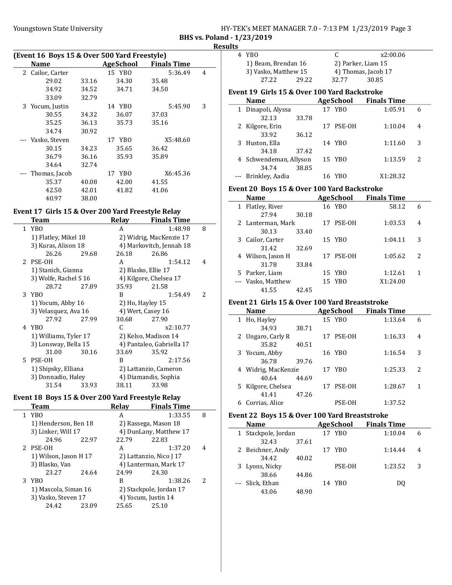| HY-TEK's MEET MANAGER 7.0 - 7:13 PM 1/23/2019 Page 3 |  |  |
|------------------------------------------------------|--|--|
| $P_1$ $P_2$ $P_3$ $P_4$ $P_5$ $P_6$ $P_7$            |  |  |

BHS vs. Poland - 1/23/2019

| Results |
|---------|
|---------|

|   | (Event 16 Boys 15 & Over 500 Yard Freestyle) |       |           |                    |   |
|---|----------------------------------------------|-------|-----------|--------------------|---|
|   | <b>Name</b>                                  |       | AgeSchool | <b>Finals Time</b> |   |
| 2 | Cailor, Carter                               |       | 15 YBO    | 5:36.49            | 4 |
|   | 29.02                                        | 33.16 | 34.30     | 35.48              |   |
|   | 34.92                                        | 34.52 | 34.71     | 34.50              |   |
|   | 33.09                                        | 32.79 |           |                    |   |
| 3 | Yocum, Justin                                |       | 14 YBO    | 5:45.90            | 3 |
|   | 30.55                                        | 34.32 | 36.07     | 37.03              |   |
|   | 35.25                                        | 36.13 | 35.73     | 35.16              |   |
|   | 34.74                                        | 30.92 |           |                    |   |
|   | Vasko, Steven                                |       | 17 YBO    | X5:48.60           |   |
|   | 30.15                                        | 34.23 | 35.65     | 36.42              |   |
|   | 36.79                                        | 36.16 | 35.93     | 35.89              |   |
|   | 34.64                                        | 32.74 |           |                    |   |
|   | Thomas, Jacob                                |       | 17 YBO    | X6:45.36           |   |
|   | 35.37                                        | 40.08 | 42.00     | 41.55              |   |
|   | 42.50                                        | 42.01 | 41.82     | 41.06              |   |
|   | 40.97                                        | 38.00 |           |                    |   |

#### Event 17 Girls 15 & Over 200 Yard Freestyle Relay

|   | Team                  |       | Relav | <b>Finals Time</b>        |   |
|---|-----------------------|-------|-------|---------------------------|---|
|   | 1 YBO                 |       | A     | 1:48.98                   | 8 |
|   | 1) Flatley, Mikel 18  |       |       | 2) Widrig, MacKenzie 17   |   |
|   | 3) Kuras, Alison 18   |       |       | 4) Markovitch, Jennah 18  |   |
|   | 26.26                 | 29.68 | 26.18 | 26.86                     |   |
|   | 2 PSE-OH              |       | A     | 1:54.12                   | 4 |
|   | 1) Stanich, Gianna    |       |       | 2) Blasko, Ellie 17       |   |
|   | 3) Wolfe, Rachel S 16 |       |       | 4) Kilgore, Chelsea 17    |   |
|   | 28.72                 | 27.89 | 35.93 | 21.58                     |   |
|   | 3 YBO                 |       | B     | 1:54.49                   | 2 |
|   | 1) Yocum, Abby 16     |       |       | 2) Ho, Hayley 15          |   |
|   | 3) Velasquez, Ava 16  |       |       | 4) Wert, Casey 16         |   |
|   | 27.92                 | 27.99 | 30.68 | 27.90                     |   |
| 4 | YBO                   |       | C     | x2:10.77                  |   |
|   | 1) Williams, Tyler 17 |       |       | 2) Kelso, Madison 14      |   |
|   | 3) Lonsway, Bella 15  |       |       | 4) Pantaleo, Gabriella 17 |   |
|   | 31.00                 | 30.16 | 33.69 | 35.92                     |   |
|   | 5 PSE-OH              |       | B     | 2:17.56                   |   |
|   | 1) Shipsky, Elliana   |       |       | 2) Lattanzio, Cameron     |   |
|   | 3) Donnadio, Haley    |       |       | 4) Diamandis, Sophia      |   |
|   | 31.54                 | 33.93 | 38.11 | 33.98                     |   |

# Event 18 Boys 15 & Over 200 Yard Freestyle Relay

| Team                  |       | Relay | <b>Finals Time</b>      |               |
|-----------------------|-------|-------|-------------------------|---------------|
| 1 YBO                 |       | A     | 1:33.55                 | 8             |
| 1) Henderson, Ben 18  |       |       | 2) Rassega, Mason 18    |               |
| 3) Linker, Will 17    |       |       | 4) DunLany, Matthew 17  |               |
| 24.96                 | 22.97 | 22.79 | 22.83                   |               |
| 2 PSE-OH              |       | A     | 1:37.20                 | 4             |
| 1) Wilson, Jason H 17 |       |       | 2) Lattanzio, Nico J 17 |               |
| 3) Blasko, Van        |       |       | 4) Lanterman, Mark 17   |               |
| 23.27                 | 24.64 | 24.99 | 24.30                   |               |
| 3 YBO                 |       | B     | 1:38.26                 | $\mathcal{L}$ |
| 1) Mascola, Siman 16  |       |       | 2) Stackpole, Jordan 17 |               |
| 3) Vasko, Steven 17   |       |       | 4) Yocum, Justin 14     |               |
| 24.42                 | 23.09 | 25.65 | 25.10                   |               |
|                       |       |       |                         |               |

| 4 YBO                                        |       |     | C         | x2:00.06            |   |
|----------------------------------------------|-------|-----|-----------|---------------------|---|
| 1) Beam, Brendan 16                          |       |     |           | 2) Parker, Liam 15  |   |
| 3) Vasko, Matthew 15                         |       |     |           | 4) Thomas, Jacob 17 |   |
| 27.22                                        | 29.22 |     | 32.77     | 30.85               |   |
| Event 19 Girls 15 & Over 100 Yard Backstroke |       |     |           |                     |   |
| <b>Name</b>                                  |       |     | AgeSchool | <b>Finals Time</b>  |   |
| 1 Dinapoli, Alyssa                           |       |     | 17 YBO    | 1:05.91             | 6 |
| 32.13                                        | 33.78 |     |           |                     |   |
| 2 Kilgore, Erin                              |       |     | 17 PSE-OH | 1:10.04             | 4 |
| 33.92                                        | 36.12 |     |           |                     |   |
| 3 Huston, Ella                               |       |     | 14 YBO    | 1:11.60             | 3 |
| 34.18                                        | 37.42 |     |           |                     |   |
| 4 Schwendeman, Allyson                       |       |     | 15 YBO    | 1:13.59             | 2 |
| 34.74                                        | 38.85 |     |           |                     |   |
| Brinkley, Aadia                              |       | 16. | YBO       | X1:28.32            |   |

### Event 20 Boys 15 & Over 100 Yard Backstroke

| Name               |       | AgeSchool | <b>Finals Time</b> |   |
|--------------------|-------|-----------|--------------------|---|
| 1 Flatley, River   |       | 16 YBO    | 58.12              | 6 |
| 27.94              | 30.18 |           |                    |   |
| 2 Lanterman, Mark  |       | 17 PSE-OH | 1:03.53            | 4 |
| 30.13              | 33.40 |           |                    |   |
| 3 Cailor, Carter   |       | 15 YBO    | 1:04.11            | 3 |
| 31.42              | 32.69 |           |                    |   |
| 4 Wilson, Jason H  |       | 17 PSE-OH | 1:05.62            | 2 |
| 31.78              | 33.84 |           |                    |   |
| 5 Parker, Liam     |       | 15 YBO    | 1:12.61            | 1 |
| --- Vasko, Matthew |       | 15 YBO    | X1:24.00           |   |
| 41.55              | 42.45 |           |                    |   |

## Event 21 Girls 15 & Over 100 Yard Breaststroke

|   | <b>Name</b>         |       |    | <b>AgeSchool</b> | <b>Finals Time</b> |   |
|---|---------------------|-------|----|------------------|--------------------|---|
|   | 1 Ho, Hayley        |       |    | 15 YBO           | 1:13.64            | 6 |
|   | 34.93               | 38.71 |    |                  |                    |   |
|   | 2 Ungaro, Carly R   |       | 17 | PSE-OH           | 1:16.33            | 4 |
|   | 35.82               | 40.51 |    |                  |                    |   |
|   | 3 Yocum, Abby       |       |    | 16 YBO           | 1:16.54            | 3 |
|   | 36.78               | 39.76 |    |                  |                    |   |
|   | 4 Widrig, MacKenzie |       |    | 17 YBO           | 1:25.33            | 2 |
|   | 40.64               | 44.69 |    |                  |                    |   |
|   | 5 Kilgore, Chelsea  |       | 17 | PSE-OH           | 1:28.67            | 1 |
|   | 41.41               | 47.26 |    |                  |                    |   |
| 6 | Corrias, Alice      |       |    | PSE-OH           | 1:37.52            |   |
|   |                     |       |    |                  |                    |   |

# Event 22 Boys 15 & Over 100 Yard Breaststroke

| <b>Name</b>         |       | AgeSchool | <b>Finals Time</b> |   |
|---------------------|-------|-----------|--------------------|---|
| 1 Stackpole, Jordan |       | 17 YBO    | 1:10.04            | 6 |
| 32.43               | 37.61 |           |                    |   |
| 2 Beichner, Andy    |       | 17 YBO    | 1:14.44            | 4 |
| 34.42               | 40.02 |           |                    |   |
| 3 Lyons, Nicky      |       | PSE-OH    | 1:23.52            | 3 |
| 38.66               | 44.86 |           |                    |   |
| --- Slick, Ethan    |       | 14 YBO    | DO.                |   |
| 43.06               | 48.90 |           |                    |   |